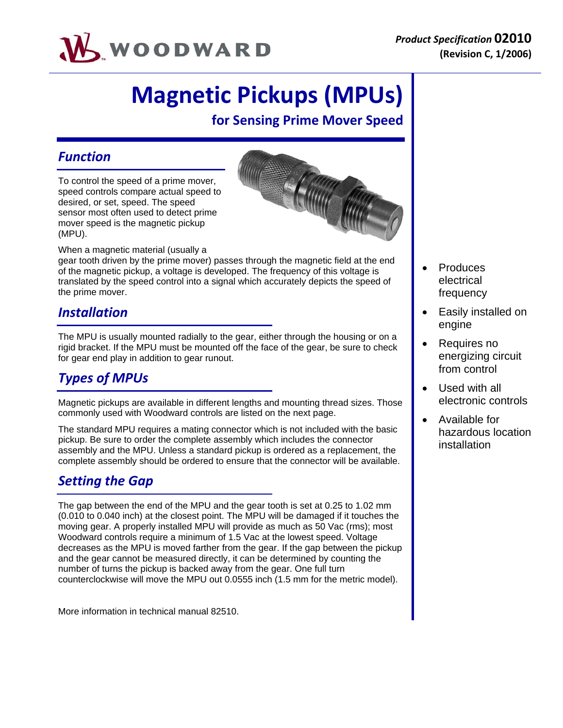

# **Magnetic Pickups (MPUs)**

**for Sensing Prime Mover Speed**

### *Function*

To control the speed of a prime mover, speed controls compare actual speed to desired, or set, speed. The speed sensor most often used to detect prime mover speed is the magnetic pickup (MPU).



When a magnetic material (usually a

gear tooth driven by the prime mover) passes through the magnetic field at the end of the magnetic pickup, a voltage is developed. The frequency of this voltage is translated by the speed control into a signal which accurately depicts the speed of the prime mover.

## *Installation*

The MPU is usually mounted radially to the gear, either through the housing or on a rigid bracket. If the MPU must be mounted off the face of the gear, be sure to check for gear end play in addition to gear runout.

# *Types of MPUs*

Magnetic pickups are available in different lengths and mounting thread sizes. Those commonly used with Woodward controls are listed on the next page.

The standard MPU requires a mating connector which is not included with the basic pickup. Be sure to order the complete assembly which includes the connector assembly and the MPU. Unless a standard pickup is ordered as a replacement, the complete assembly should be ordered to ensure that the connector will be available.

# *Setting the Gap*

The gap between the end of the MPU and the gear tooth is set at 0.25 to 1.02 mm (0.010 to 0.040 inch) at the closest point. The MPU will be damaged if it touches the moving gear. A properly installed MPU will provide as much as 50 Vac (rms); most Woodward controls require a minimum of 1.5 Vac at the lowest speed. Voltage decreases as the MPU is moved farther from the gear. If the gap between the pickup and the gear cannot be measured directly, it can be determined by counting the number of turns the pickup is backed away from the gear. One full turn counterclockwise will move the MPU out 0.0555 inch (1.5 mm for the metric model).

More information in technical manual 82510.

- Produces electrical frequency
- Easily installed on engine
- Requires no energizing circuit from control
- Used with all electronic controls
- Available for hazardous location installation